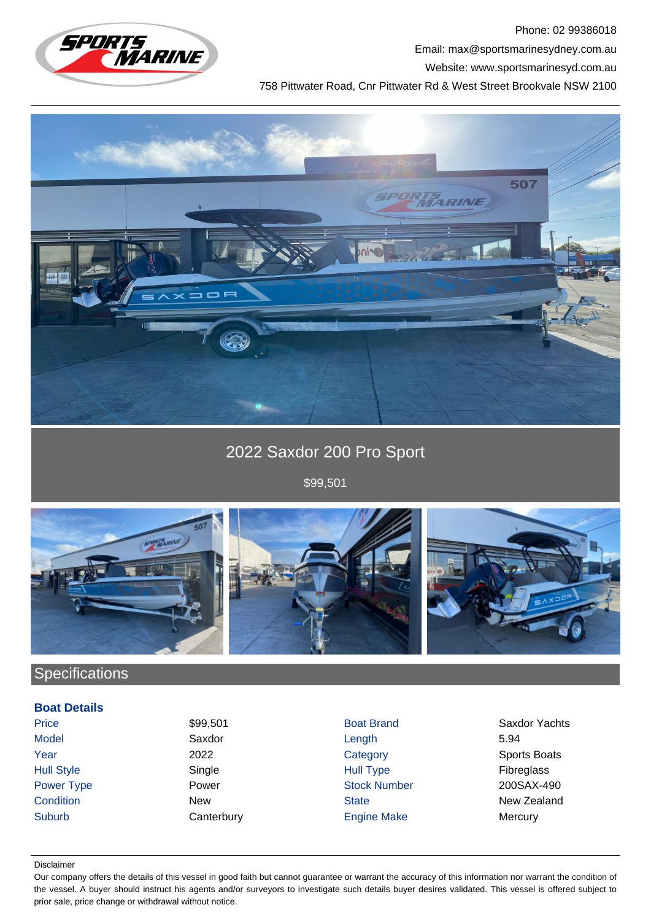

Phone: 02 99386018 Email: max@sportsmarinesydney.com.au Website: www.sportsmarinesyd.com.au

758 Pittwater Road, Cnr Pittwater Rd & West Street Brookvale NSW 2100



# 2022 Saxdor 200 Pro Sport

\$99,501



## **Specifications**

### **Boat Details**

Suburb Canterbury Canterbury Engine Make Mercury

Model Saxdor Length 5.94 Year 2022 2022 Category Category Sports Boats Hull Style Single Hull Type Fibreglass Power Type **Power Power Stock Number 200SAX-490 Condition New New State New State New Zealand** 

Price 599,501 Saxdor Yachts

#### Disclaimer

Our company offers the details of this vessel in good faith but cannot guarantee or warrant the accuracy of this information nor warrant the condition of the vessel. A buyer should instruct his agents and/or surveyors to investigate such details buyer desires validated. This vessel is offered subject to prior sale, price change or withdrawal without notice.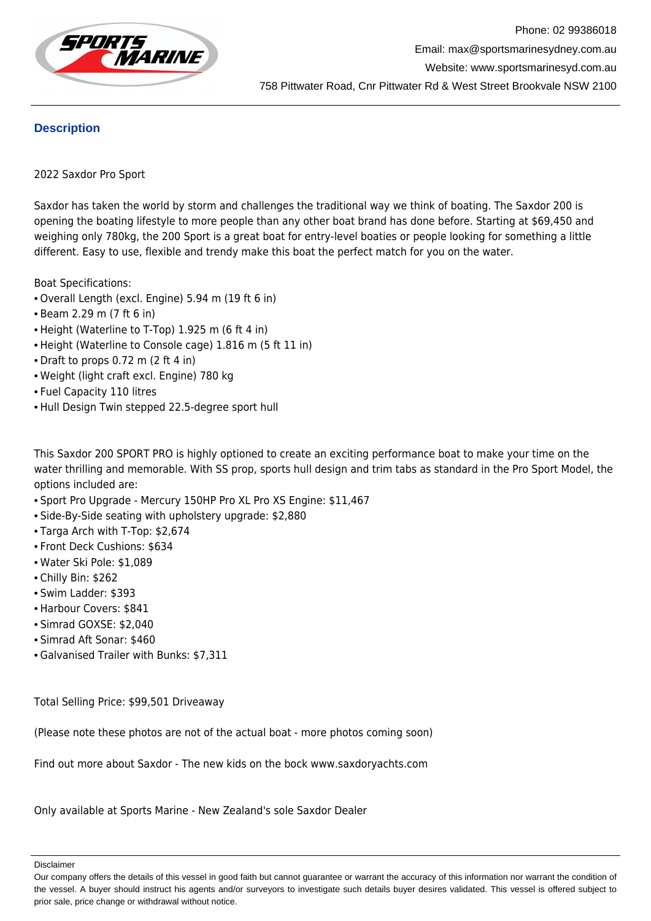

## **Description**

## 2022 Saxdor Pro Sport

Saxdor has taken the world by storm and challenges the traditional way we think of boating. The Saxdor 200 is opening the boating lifestyle to more people than any other boat brand has done before. Starting at \$69,450 and weighing only 780kg, the 200 Sport is a great boat for entry-level boaties or people looking for something a little different. Easy to use, flexible and trendy make this boat the perfect match for you on the water.

Boat Specifications:

- Overall Length (excl. Engine) 5.94 m (19 ft 6 in)
- Beam 2.29 m (7 ft 6 in)
- Height (Waterline to T-Top) 1.925 m (6 ft 4 in)
- Height (Waterline to Console cage) 1.816 m (5 ft 11 in)
- Draft to props 0.72 m (2 ft 4 in)
- Weight (light craft excl. Engine) 780 kg
- Fuel Capacity 110 litres
- Hull Design Twin stepped 22.5-degree sport hull

This Saxdor 200 SPORT PRO is highly optioned to create an exciting performance boat to make your time on the water thrilling and memorable. With SS prop, sports hull design and trim tabs as standard in the Pro Sport Model, the options included are:

- Sport Pro Upgrade Mercury 150HP Pro XL Pro XS Engine: \$11,467
- Side-By-Side seating with upholstery upgrade: \$2,880
- Targa Arch with T-Top: \$2,674
- Front Deck Cushions: \$634
- Water Ski Pole: \$1,089
- Chilly Bin: \$262
- Swim Ladder: \$393
- Harbour Covers: \$841
- Simrad GOXSE: \$2,040
- Simrad Aft Sonar: \$460
- Galvanised Trailer with Bunks: \$7,311

Total Selling Price: \$99,501 Driveaway

(Please note these photos are not of the actual boat - more photos coming soon)

Find out more about Saxdor - The new kids on the bock www.saxdoryachts.com

Only available at Sports Marine - New Zealand's sole Saxdor Dealer

Disclaimer

Our company offers the details of this vessel in good faith but cannot guarantee or warrant the accuracy of this information nor warrant the condition of the vessel. A buyer should instruct his agents and/or surveyors to investigate such details buyer desires validated. This vessel is offered subject to prior sale, price change or withdrawal without notice.